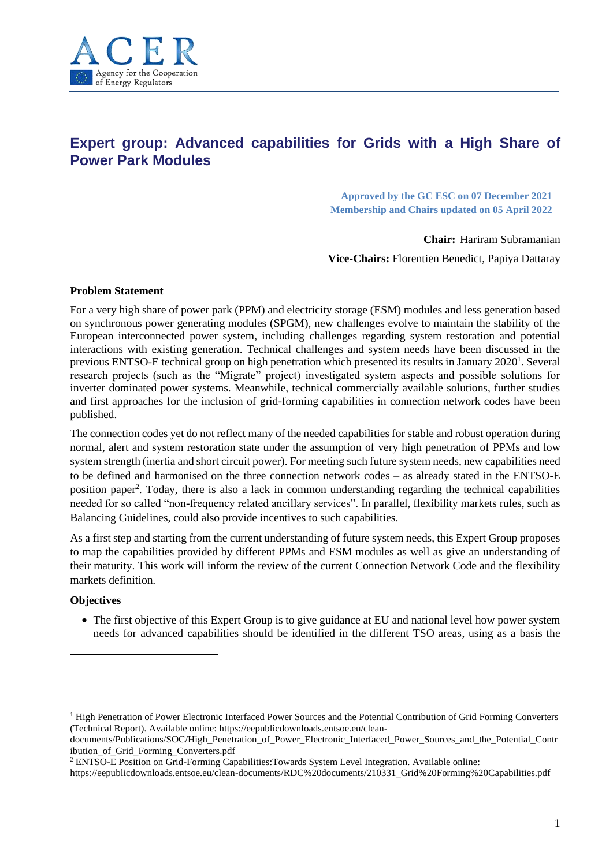

# **Expert group: Advanced capabilities for Grids with a High Share of Power Park Modules**

**Approved by the GC ESC on 07 December 2021 Membership and Chairs updated on 05 April 2022**

**Chair:** Hariram Subramanian

**Vice-Chairs:** Florentien Benedict, Papiya Dattaray

## **Problem Statement**

For a very high share of power park (PPM) and electricity storage (ESM) modules and less generation based on synchronous power generating modules (SPGM), new challenges evolve to maintain the stability of the European interconnected power system, including challenges regarding system restoration and potential interactions with existing generation. Technical challenges and system needs have been discussed in the previous ENTSO-E technical group on high penetration which presented its results in January 2020<sup>1</sup>. Several research projects (such as the "Migrate" project) investigated system aspects and possible solutions for inverter dominated power systems. Meanwhile, technical commercially available solutions, further studies and first approaches for the inclusion of grid-forming capabilities in connection network codes have been published.

The connection codes yet do not reflect many of the needed capabilities for stable and robust operation during normal, alert and system restoration state under the assumption of very high penetration of PPMs and low system strength (inertia and short circuit power). For meeting such future system needs, new capabilities need to be defined and harmonised on the three connection network codes – as already stated in the ENTSO-E position paper<sup>2</sup>. Today, there is also a lack in common understanding regarding the technical capabilities needed for so called "non-frequency related ancillary services". In parallel, flexibility markets rules, such as Balancing Guidelines, could also provide incentives to such capabilities.

As a first step and starting from the current understanding of future system needs, this Expert Group proposes to map the capabilities provided by different PPMs and ESM modules as well as give an understanding of their maturity. This work will inform the review of the current Connection Network Code and the flexibility markets definition.

# **Objectives**

• The first objective of this Expert Group is to give guidance at EU and national level how power system needs for advanced capabilities should be identified in the different TSO areas, using as a basis the

<sup>&</sup>lt;sup>1</sup> High Penetration of Power Electronic Interfaced Power Sources and the Potential Contribution of Grid Forming Converters (Technical Report). Available online: https://eepublicdownloads.entsoe.eu/clean-

documents/Publications/SOC/High\_Penetration\_of\_Power\_Electronic\_Interfaced\_Power\_Sources\_and\_the\_Potential\_Contr ibution\_of\_Grid\_Forming\_Converters.pdf

<sup>2</sup> ENTSO-E Position on Grid-Forming Capabilities:Towards System Level Integration. Available online:

https://eepublicdownloads.entsoe.eu/clean-documents/RDC%20documents/210331\_Grid%20Forming%20Capabilities.pdf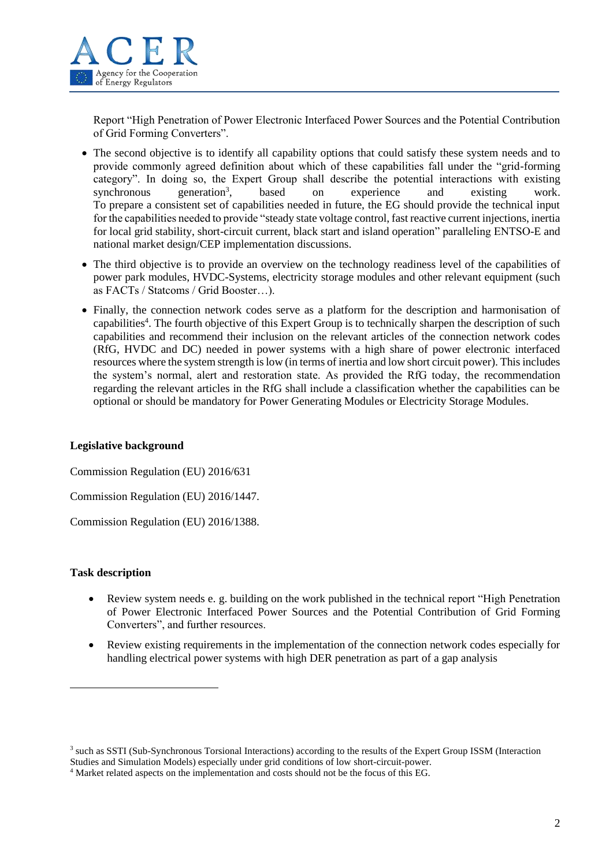

Report "High Penetration of Power Electronic Interfaced Power Sources and the Potential Contribution of Grid Forming Converters".

- The second objective is to identify all capability options that could satisfy these system needs and to provide commonly agreed definition about which of these capabilities fall under the "grid-forming category". In doing so, the Expert Group shall describe the potential interactions with existing synchronous generation<sup>3</sup>, based on experience and existing work. To prepare a consistent set of capabilities needed in future, the EG should provide the technical input for the capabilities needed to provide "steady state voltage control, fast reactive current injections, inertia for local grid stability, short-circuit current, black start and island operation" paralleling ENTSO-E and national market design/CEP implementation discussions.
- The third objective is to provide an overview on the technology readiness level of the capabilities of power park modules, HVDC-Systems, electricity storage modules and other relevant equipment (such as FACTs / Statcoms / Grid Booster…).
- Finally, the connection network codes serve as a platform for the description and harmonisation of capabilities<sup>4</sup>. The fourth objective of this Expert Group is to technically sharpen the description of such capabilities and recommend their inclusion on the relevant articles of the connection network codes (RfG, HVDC and DC) needed in power systems with a high share of power electronic interfaced resources where the system strength is low (in terms of inertia and low short circuit power). This includes the system's normal, alert and restoration state. As provided the RfG today, the recommendation regarding the relevant articles in the RfG shall include a classification whether the capabilities can be optional or should be mandatory for Power Generating Modules or Electricity Storage Modules.

## **Legislative background**

Commission Regulation (EU) 2016/631

Commission Regulation (EU) 2016/1447.

Commission Regulation (EU) 2016/1388.

## **Task description**

- Review system needs e. g. building on the work published in the technical report "High Penetration" of Power Electronic Interfaced Power Sources and the Potential Contribution of Grid Forming Converters", and further resources.
- Review existing requirements in the implementation of the connection network codes especially for handling electrical power systems with high DER penetration as part of a gap analysis

<sup>&</sup>lt;sup>3</sup> such as SSTI (Sub-Synchronous Torsional Interactions) according to the results of the Expert Group ISSM (Interaction Studies and Simulation Models) especially under grid conditions of low short-circuit-power.

<sup>4</sup> Market related aspects on the implementation and costs should not be the focus of this EG.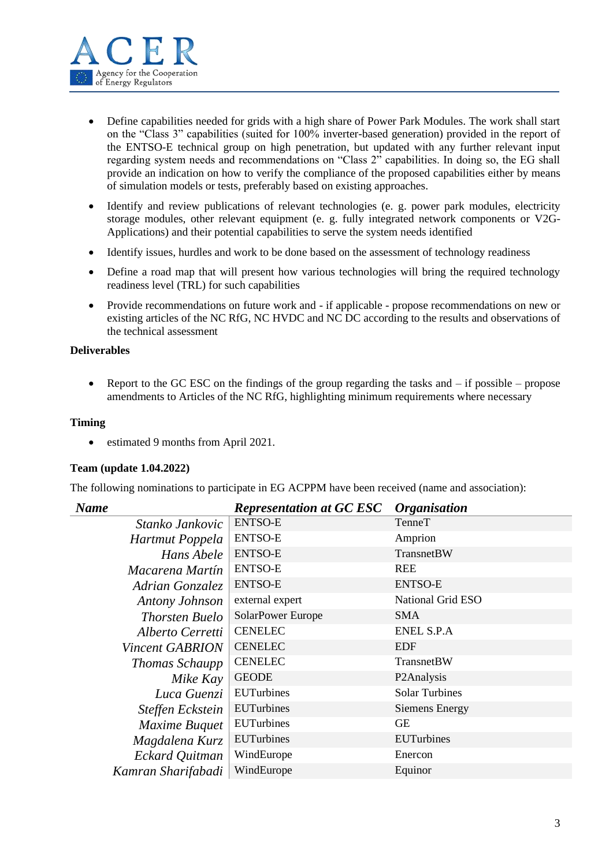

- Define capabilities needed for grids with a high share of Power Park Modules. The work shall start on the "Class 3" capabilities (suited for 100% inverter-based generation) provided in the report of the ENTSO-E technical group on high penetration, but updated with any further relevant input regarding system needs and recommendations on "Class 2" capabilities. In doing so, the EG shall provide an indication on how to verify the compliance of the proposed capabilities either by means of simulation models or tests, preferably based on existing approaches.
- Identify and review publications of relevant technologies (e. g. power park modules, electricity storage modules, other relevant equipment (e. g. fully integrated network components or V2G-Applications) and their potential capabilities to serve the system needs identified
- Identify issues, hurdles and work to be done based on the assessment of technology readiness
- Define a road map that will present how various technologies will bring the required technology readiness level (TRL) for such capabilities
- Provide recommendations on future work and if applicable propose recommendations on new or existing articles of the NC RfG, NC HVDC and NC DC according to the results and observations of the technical assessment

## **Deliverables**

• Report to the GC ESC on the findings of the group regarding the tasks and  $-$  if possible – propose amendments to Articles of the NC RfG, highlighting minimum requirements where necessary

## **Timing**

estimated 9 months from April 2021.

## **Team (update 1.04.2022)**

The following nominations to participate in EG ACPPM have been received (name and association):

| <b>Name</b>            | <b>Representation at GC ESC</b> | <b>Organisation</b>     |
|------------------------|---------------------------------|-------------------------|
| Stanko Jankovic        | <b>ENTSO-E</b>                  | TenneT                  |
| Hartmut Poppela        | <b>ENTSO-E</b>                  | Amprion                 |
| Hans Abele             | <b>ENTSO-E</b>                  | TransnetBW              |
| Macarena Martín        | <b>ENTSO-E</b>                  | <b>REE</b>              |
| Adrian Gonzalez        | <b>ENTSO-E</b>                  | <b>ENTSO-E</b>          |
| Antony Johnson         | external expert                 | National Grid ESO       |
| <b>Thorsten Buelo</b>  | SolarPower Europe               | <b>SMA</b>              |
| Alberto Cerretti       | <b>CENELEC</b>                  | <b>ENEL S.P.A</b>       |
| <b>Vincent GABRION</b> | <b>CENELEC</b>                  | <b>EDF</b>              |
| <b>Thomas Schaupp</b>  | <b>CENELEC</b>                  | <b>TransnetBW</b>       |
| Mike Kay               | <b>GEODE</b>                    | P <sub>2</sub> Analysis |
| Luca Guenzi            | <b>EUTurbines</b>               | <b>Solar Turbines</b>   |
| Steffen Eckstein       | <b>EUTurbines</b>               | <b>Siemens Energy</b>   |
| Maxime Buquet          | <b>EUTurbines</b>               | GE                      |
| Magdalena Kurz         | <b>EUTurbines</b>               | <b>EUTurbines</b>       |
| Eckard Quitman         | WindEurope                      | Enercon                 |
| Kamran Sharifabadi     | WindEurope                      | Equinor                 |